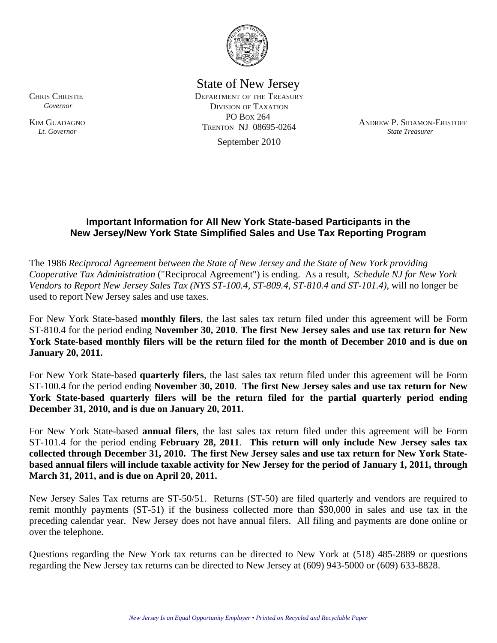

State of New Jersey

 DEPARTMENT OF THE TREASURY DIVISION OF TAXATION PO BOX 264 September 2010

TRENTON NJ 08695-0264 ANDREW P. SIDAMON-ERISTOFF *State Treasurer*

## **Important Information for All New York State-based Participants in the New Jersey/New York State Simplified Sales and Use Tax Reporting Program**

The 1986 *Reciprocal Agreement between the State of New Jersey and the State of New York providing Cooperative Tax Administration* ("Reciprocal Agreement") is ending. As a result, *Schedule NJ for New York Vendors to Report New Jersey Sales Tax (NYS ST-100.4, ST-809.4, ST-810.4 and ST-101.4)*, will no longer be used to report New Jersey sales and use taxes.

For New York State-based **monthly filers**, the last sales tax return filed under this agreement will be Form ST-810.4 for the period ending **November 30, 2010**. **The first New Jersey sales and use tax return for New York State-based monthly filers will be the return filed for the month of December 2010 and is due on January 20, 2011.** 

For New York State-based **quarterly filers**, the last sales tax return filed under this agreement will be Form ST-100.4 for the period ending **November 30, 2010**. **The first New Jersey sales and use tax return for New York State-based quarterly filers will be the return filed for the partial quarterly period ending December 31, 2010, and is due on January 20, 2011.** 

For New York State-based **annual filers**, the last sales tax return filed under this agreement will be Form ST-101.4 for the period ending **February 28, 2011**. **This return will only include New Jersey sales tax collected through December 31, 2010. The first New Jersey sales and use tax return for New York Statebased annual filers will include taxable activity for New Jersey for the period of January 1, 2011, through March 31, 2011, and is due on April 20, 2011.** 

New Jersey Sales Tax returns are ST-50/51. Returns (ST-50) are filed quarterly and vendors are required to remit monthly payments (ST-51) if the business collected more than \$30,000 in sales and use tax in the preceding calendar year. New Jersey does not have annual filers. All filing and payments are done online or over the telephone.

Questions regarding the New York tax returns can be directed to New York at (518) 485-2889 or questions regarding the New Jersey tax returns can be directed to New Jersey at (609) 943-5000 or (609) 633-8828.

CHRIS CHRISTIE  *Governor* 

KIM GUADAGNO  *Lt. Governor*